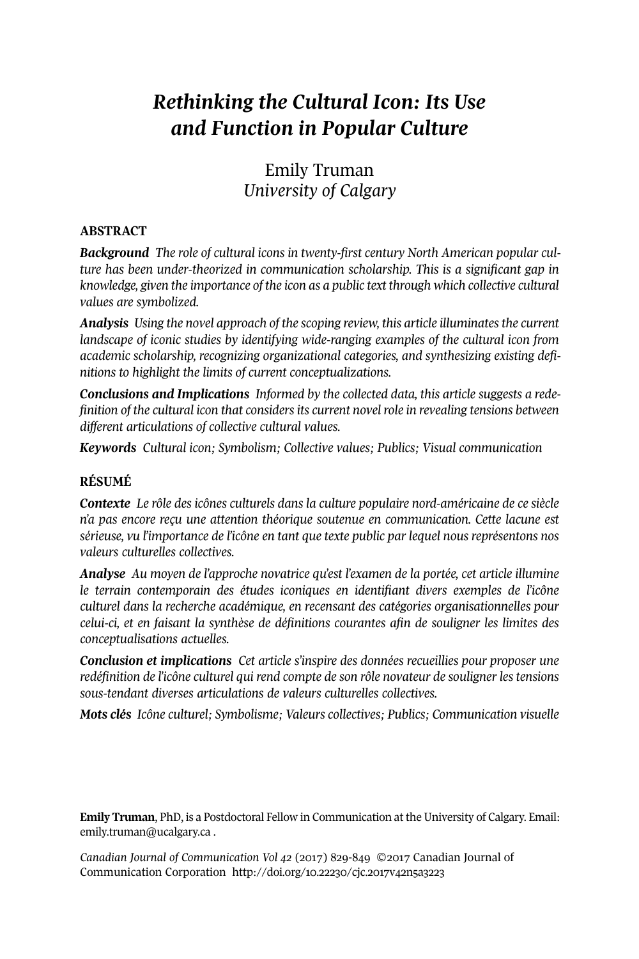# *Rethinking the Cultural Icon: Its Use and Function in Popular Culture*

# Emily Truman *University of Calgary*

## **ABSTRACT**

*Background The role of cultural icons in twenty-first century North American popular culture has been under-theorized in communication scholarship. This is a significant gap in knowledge, given the importance of the icon as a public text through which collective cultural values are symbolized.*

*Analysis Using the novel approach of the scoping review, this article illuminatesthe current landscape of iconic studies by identifying wide-ranging examples of the cultural icon from academic scholarship, recognizing organizational categories, and synthesizing existing definitions to highlight the limits of current conceptualizations.*

*Conclusions and Implications Informed by the collected data, this article suggests a redefinition of the cultural icon that considersits current novelrole in revealing tensions between different articulations of collective cultural values.*

*Keywords Cultural icon; Symbolism; Collective values; Publics; Visual communication*

## **RÉSUMÉ**

*Contexte Le rôle des icônes culturels dans la culture populaire nord-américaine de ce siècle n'a pas encore reçu une attention théorique soutenue en communication. Cette lacune est sérieuse, vu l'importance de l'icône en tant que texte public par lequel nous représentons nos valeurs culturelles collectives.*

*Analyse Au moyen de l'approche novatrice qu'est l'examen de la portée, cet article illumine le terrain contemporain des études iconiques en identifiant divers exemples de l'icône culturel dans la recherche académique, en recensant des catégories organisationnelles pour celui-ci, et en faisant la synthèse de définitions courantes afin de souligner les limites des conceptualisations actuelles.*

*Conclusion et implications Cet article s'inspire des données recueillies pour proposer une redéfinition de l'icône culturel qui rend compte de son rôle novateur de souligner les tensions sous-tendant diverses articulations de valeurs culturelles collectives.*

*Mots clés Icône culturel; Symbolisme; Valeurs collectives; Publics; Communication visuelle*

**Emily Truman**, PhD, is a Postdoctoral Fellow in Communication at the University of Calgary. Email: [emily.truman@ucalgary.ca](mailto:emily.truman@ucalgary.ca) .

*Canadian Journal of [Communication](http://www.cjc-online.ca) Vol 42* (2017) 829-849 ©2017 Canadian Journal of Communication Corporation <http://doi.org/10.22230/cjc.2017v42n5a3223>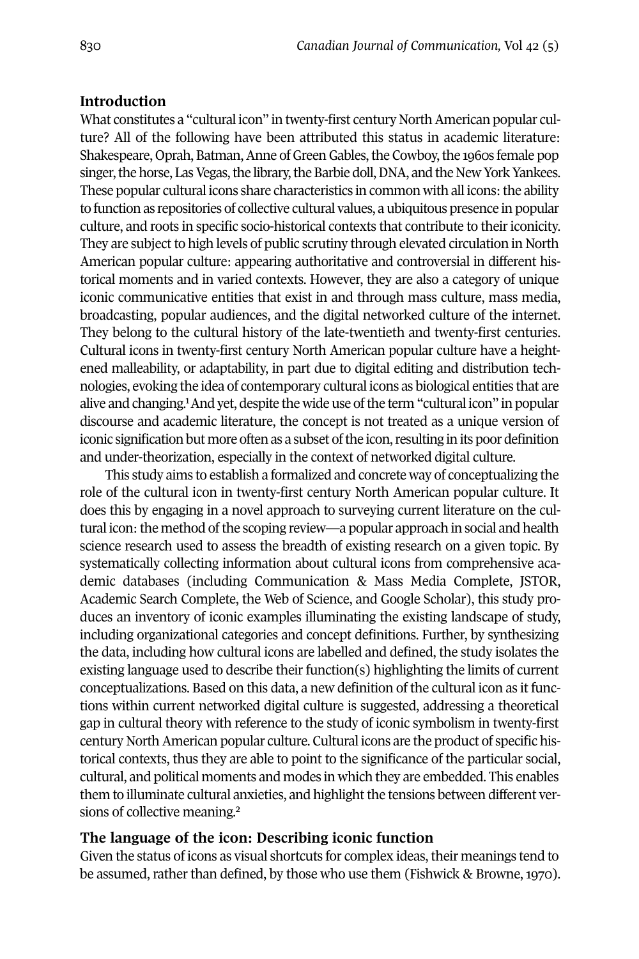## **Introduction**

What constitutes a "cultural icon" in twenty-first century North American popular culture? All of the following have been attributed this status in academic literature: Shakespeare, Oprah, Batman, Anne of Green Gables, the Cowboy, the 1960s female pop singer, the horse, Las Vegas, the library, the Barbie doll, DNA, and the New York Yankees. These popular cultural icons share characteristics in common with all icons: the ability to function as repositories of collective cultural values, a ubiquitous presence in popular culture, and roots in specific socio-historical contexts that contribute to their iconicity. They are subject to high levels of public scrutiny through elevated circulation in North American popular culture: appearing authoritative and controversial in different historical moments and in varied contexts. However, they are also a category of unique iconic communicative entities that exist in and through mass culture, mass media, broadcasting, popular audiences, and the digital networked culture of the internet. They belong to the cultural history of the late-twentieth and twenty-first centuries. Cultural icons in twenty-first century North American popular culture have a heightened malleability, or adaptability, in part due to digital editing and distribution technologies, evoking [th](#page-14-0)e idea of contemporary cultural icons as biological entities that are alive and changing.<sup>1</sup> And yet, despite the wide use of the term "cultural icon" in popular discourse and academic literature, the concept is not treated as a unique version of iconic signification but more often as a subset of the icon, resulting in its poor definition and under-theorization, especially in the context of networked digital culture.

This study aims to establish a formalized and concrete way of conceptualizing the role of the cultural icon in twenty-first century North American popular culture. It does this by engaging in a novel approach to surveying current literature on the cultural icon: the method of the scoping review—a popular approach in social and health science research used to assess the breadth of existing research on a given topic. By systematically collecting information about cultural icons from comprehensive academic databases (including Communication & Mass Media Complete, JSTOR, Academic Search Complete, the Web of Science, and Google Scholar), this study produces an inventory of iconic examples illuminating the existing landscape of study, including organizational categories and concept definitions. Further, by synthesizing the data, including how cultural icons are labelled and defined, the study isolates the existing language used to describe their function(s) highlighting the limits of current conceptualizations. Based on this data, a new definition of the cultural icon as it functions within current networked digital culture is suggested, addressing a theoretical gap in cultural theory with reference to the study of iconic symbolism in twenty-first century NorthAmerican popular culture. Cultural icons are the product of specific historical contexts, thus they are able to point to the significance of the particular social, cultural, and political moments and modes in which they are embedded. This enables them to illuminate cultural [an](#page-14-0)xieties, and highlight the tensions between different versions of collective meaning. 2

## **The language of the icon: Describing iconic function**

Given the status of icons as visual shortcuts for complex ideas, their meanings tend to be assumed, rather than defined, by those who use them (Fishwick & Browne, 1970).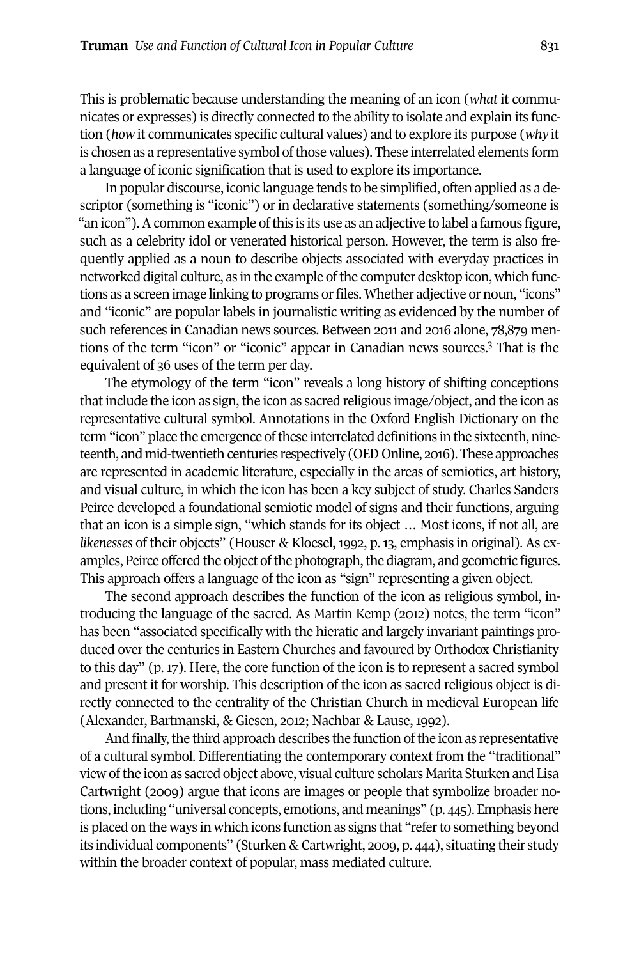This is problematic because understanding the meaning of an icon (*what* it communicates or expresses) is directly connected to the ability to isolate and explain its function (*how* it communicates specific cultural values) and to explore its purpose (*why* it is chosen as a representative symbol of those values). These interrelated elements form a language of iconic signification that is used to explore its importance.

In popular discourse, iconic language tends to be simplified, often applied as a descriptor (something is "iconic") or in declarative statements (something/someone is "an icon"). A common example of this is its use as an adjective to label a famous figure, such as a celebrity idol or venerated historical person. However, the term is also frequently applied as a noun to describe objects associated with everyday practices in networked digital culture, as in the example of the computer desktop icon, which functions as a screen image linking to programs or files. Whether adjective or noun, "icons" and "iconic" are popular labels in journalistic writing as evidenced by the number of such references in Canadian news sources. Between 2011 and 2016 alone, 78,879 mentions of the term "icon" or "iconic" appear in Canadian news sources. [3](#page-14-1) That is the equivalent of 36 uses of the term per day.

The etymology of the term "icon" reveals a long history of shifting conceptions that include the icon as sign, the icon as sacred religious image/object, and the icon as representative cultural symbol. Annotations in the Oxford English Dictionary on the term "icon" place the emergence of these interrelated definitions in the sixteenth, nineteenth, and mid-twentieth centuries respectively (OED Online, 2016). These approaches are represented in academic literature, especially in the areas of semiotics, art history, and visual culture, in which the icon has been a key subject of study. Charles Sanders Peirce developed a foundational semiotic model of signs and their functions, arguing that an icon is a simple sign, "which stands for its object … Most icons, if not all, are *likenesses* of their objects" (Houser & Kloesel, 1992, p. 13, emphasis in original). As examples, Peirce offered the object of the photograph, the diagram, and geometric figures. This approach offers a language of the icon as "sign" representing a given object.

The second approach describes the function of the icon as religious symbol, introducing the language of the sacred. As Martin Kemp (2012) notes, the term "icon" has been "associated specifically with the hieratic and largely invariant paintings produced over the centuries in Eastern Churches and favoured by Orthodox Christianity to this day" (p. 17). Here, the core function of the icon is to represent a sacred symbol and present it for worship. This description of the icon as sacred religious object is directly connected to the centrality of the Christian Church in medieval European life (Alexander, Bartmanski, & Giesen, 2012; Nachbar & Lause, 1992).

And finally, the third approach describes the function of the icon as representative of a cultural symbol. Differentiating the contemporary context from the "traditional" view ofthe icon as sacred object above, visual culture scholars Marita Sturken and Lisa Cartwright (2009) argue that icons are images or people that symbolize broader notions, including "universal concepts, emotions, and meanings" (p. 445). Emphasis here is placed on the ways in which icons function as signs that "refer to something beyond its individual components" (Sturken & Cartwright, 2009, p. 444), situating their study within the broader context of popular, mass mediated culture.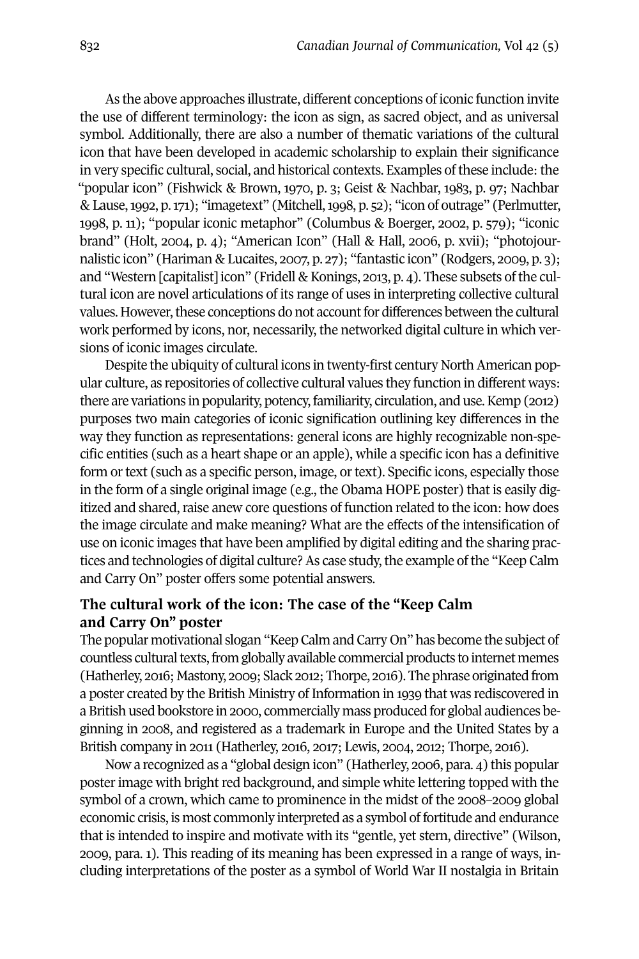As the above approaches illustrate, different conceptions of iconic function invite the use of different terminology: the icon as sign, as sacred object, and as universal symbol. Additionally, there are also a number of thematic variations of the cultural icon that have been developed in academic scholarship to explain their significance in very specific cultural, social, and historical contexts. Examples of these include: the "popular icon" (Fishwick & Brown, 1970, p. 3; Geist & Nachbar, 1983, p. 97; Nachbar & Lause,1992, p.171); "imagetext" (Mitchell,1998, p. 52); "icon of outrage" (Perlmutter, 1998, p. 11); "popular iconic metaphor" (Columbus & Boerger, 2002, p. 579); "iconic brand" (Holt, 2004, p. 4); "American Icon" (Hall & Hall, 2006, p. xvii); "photojournalistic icon" (Hariman & Lucaites, 2007, p. 27); "fantastic icon" (Rodgers, 2009, p. 3); and "Western [capitalist] icon" (Fridell & Konings, 2013, p. 4). These subsets of the cultural icon are novel articulations of its range of uses in interpreting collective cultural values. However, these conceptions do not account for differences between the cultural work performed by icons, nor, necessarily, the networked digital culture in which versions of iconic images circulate.

Despite the ubiquity of cultural icons in twenty-first century North American popular culture, as repositories of collective cultural values they function in different ways: there are variations in popularity, potency,familiarity, circulation, and use.Kemp (2012) purposes two main categories of iconic signification outlining key differences in the way they function as representations: general icons are highly recognizable non-specific entities (such as a heart shape or an apple), while a specific icon has a definitive form or text (such as a specific person, image, or text). Specific icons, especially those in the form of a single original image (e.g., the Obama HOPE poster) that is easily digitized and shared, raise anew core questions of function related to the icon: how does the image circulate and make meaning? What are the effects of the intensification of use on iconic images that have been amplified by digital editing and the sharing practices and technologies of digital culture? As case study, the example of the "Keep Calm and Carry On" poster offers some potential answers.

## **The cultural work of the icon: The case of the "Keep Calm and Carry On" poster**

The popular motivational slogan "Keep Calm and Carry On" has become the subject of countless cultural texts, from globally available commercial products to internet memes (Hatherley, 2016; Mastony, 2009; Slack 2012; Thorpe, 2016). The phrase originated from a poster created by the British Ministry of Information in 1939 that was rediscovered in a British used bookstore in 2000, commercially mass produced for global audiences beginning in 2008, and registered as a trademark in Europe and the United States by a British company in 2011 (Hatherley, 2016, 2017; Lewis, 2004, 2012; Thorpe, 2016).

Now a recognized as a "global design icon" (Hatherley, 2006, para. 4) this popular poster image with bright red background, and simple white lettering topped with the symbol of a crown, which came to prominence in the midst of the 2008–2009 global economic crisis, is most commonly interpreted as a symbol of fortitude and endurance that is intended to inspire and motivate with its "gentle, yet stern, directive" (Wilson, 2009, para. 1). This reading of its meaning has been expressed in a range of ways, including interpretations of the poster as a symbol of World War II nostalgia in Britain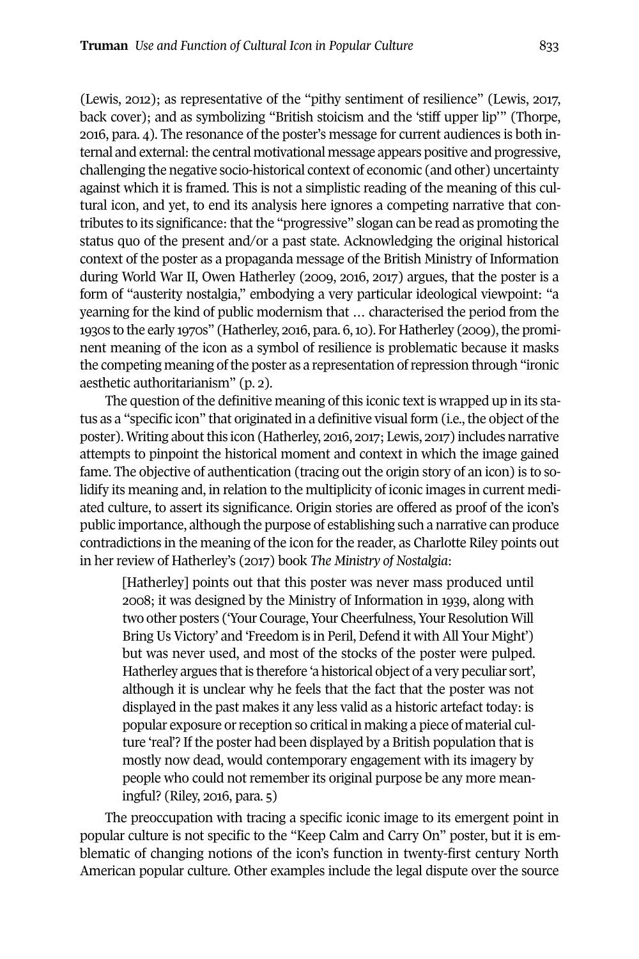(Lewis, 2012); as representative of the "pithy sentiment of resilience" (Lewis, 2017, back cover); and as symbolizing "British stoicism and the 'stiff upper lip'" (Thorpe, 2016, para. 4). The resonance of the poster's message for current audiences is both internal and external: the central motivational message appears positive and progressive, challenging the negative socio-historical context of economic (and other) uncertainty against which it is framed. This is not a simplistic reading of the meaning of this cultural icon, and yet, to end its analysis here ignores a competing narrative that contributes to its significance: that the "progressive" slogan can be read as promoting the status quo of the present and/or a past state. Acknowledging the original historical context of the poster as a propaganda message of the British Ministry of Information during World War II, Owen Hatherley (2009, 2016, 2017) argues, that the poster is a form of "austerity nostalgia," embodying a very particular ideological viewpoint: "a yearning for the kind of public modernism that … characterised the period from the 1930s to the early 1970s" (Hatherley, 2016, para. 6, 10). For Hatherley (2009), the prominent meaning of the icon as a symbol of resilience is problematic because it masks the competing meaning of the poster as a representation of repression through "ironic aesthetic authoritarianism" (p. 2).

The question of the definitive meaning of this iconic text is wrapped up in its status as a "specific icon" that originated in a definitive visual form (i.e., the object of the poster). Writing about this icon (Hatherley, 2016, 2017; Lewis, 2017) includes narrative attempts to pinpoint the historical moment and context in which the image gained fame. The objective of authentication (tracing out the origin story of an icon) is to solidify its meaning and, in relation to the multiplicity of iconic images in current mediated culture, to assert its significance. Origin stories are offered as proof of the icon's public importance, although the purpose of establishing such a narrative can produce contradictions in the meaning of the icon for the reader, as Charlotte Riley points out in her review of Hatherley's (2017) book *The Ministry of Nostalgia*:

[Hatherley] points out that this poster was never mass produced until 2008; it was designed by the Ministry of Information in 1939, along with two other posters ('Your Courage, Your Cheerfulness, Your Resolution Will Bring Us Victory' and 'Freedom is in Peril, Defend it with All Your Might') but was never used, and most of the stocks of the poster were pulped. Hatherley argues that is therefore 'a historical object of a very peculiar sort', although it is unclear why he feels that the fact that the poster was not displayed in the past makes it any less valid as a historic artefact today: is popular exposure or reception so critical in making a piece of material culture 'real'? If the poster had been displayed by a British population that is mostly now dead, would contemporary engagement with its imagery by people who could not remember its original purpose be any more meaningful? (Riley, 2016, para. 5)

The preoccupation with tracing a specific iconic image to its emergent point in popular culture is not specific to the "Keep Calm and Carry On" poster, but it is emblematic of changing notions of the icon's function in twenty-first century North American popular culture. Other examples include the legal dispute over the source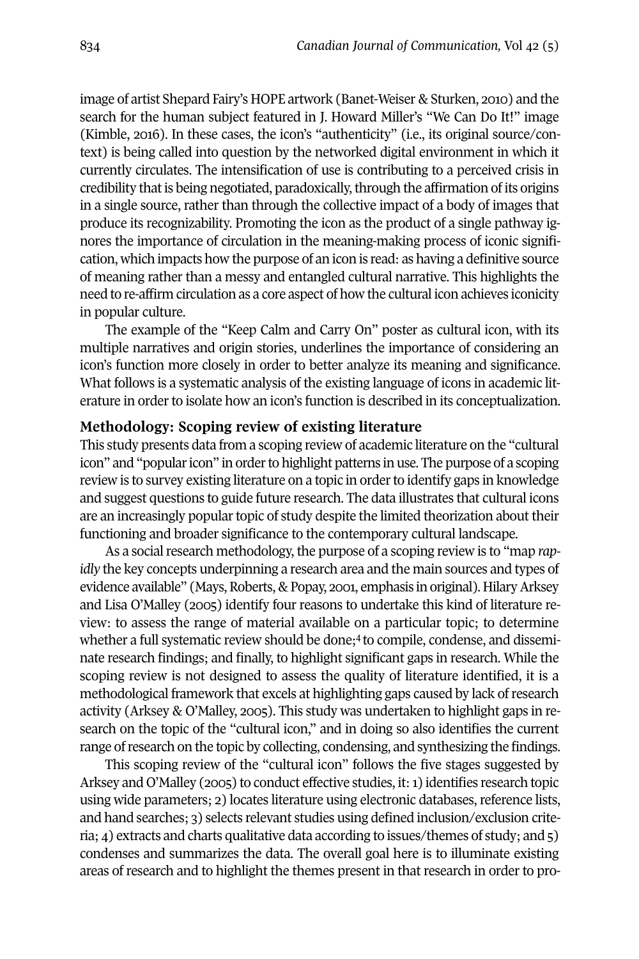image of artist Shepard Fairy's HOPE artwork (Banet-Weiser & Sturken, 2010) and the search for the human subject featured in J. Howard Miller's "We Can Do It!" image (Kimble, 2016). In these cases, the icon's "authenticity" (i.e., its original source/context) is being called into question by the networked digital environment in which it currently circulates. The intensification of use is contributing to a perceived crisis in credibility that is being negotiated, paradoxically, through the affirmation of its origins in a single source, rather than through the collective impact of a body of images that produce its recognizability. Promoting the icon as the product of a single pathway ignores the importance of circulation in the meaning-making process of iconic signification, which impacts how the purpose of an icon is read: as having a definitive source of meaning rather than a messy and entangled cultural narrative. This highlights the need to re-affirm circulation as a core aspect of how the cultural icon achieves iconicity in popular culture.

The example of the "Keep Calm and Carry On" poster as cultural icon, with its multiple narratives and origin stories, underlines the importance of considering an icon's function more closely in order to better analyze its meaning and significance. What follows is a systematic analysis of the existing language of icons in academic literature in order to isolate how an icon's function is described in its conceptualization.

## **Methodology: Scoping review of existing literature**

This study presents data from a scoping review of academic literature on the "cultural icon" and "popularicon" in orderto highlight patterns in use. The purpose of a scoping review is to survey existing literature on a topic in order to identify gaps in knowledge and suggest questions to guide future research. The data illustrates that cultural icons are an increasingly popular topic of study despite the limited theorization about their functioning and broader significance to the contemporary cultural landscape.

As a social research methodology, the purpose of a scoping review is to "map *rapidly* the key concepts underpinning a research area and the main sources and types of evidence available" (Mays, Roberts, & Popay, 2001, emphasis in original). Hilary Arksey and Lisa O'Malley (2005) identify four reasons to undertake this kind of literature review: to assess the range of material available [on](#page-14-2) a particular topic; to determine whether a full systematic review should be done; <sup>4</sup> to compile, condense, and disseminate research findings; and finally, to highlight significant gaps in research. While the scoping review is not designed to assess the quality of literature identified, it is a methodological framework that excels at highlighting gaps caused by lack ofresearch activity (Arksey & O'Malley, 2005). This study was undertaken to highlight gaps in research on the topic of the "cultural icon," and in doing so also identifies the current range ofresearch on the topic by collecting, condensing, and synthesizing the findings.

This scoping review of the "cultural icon" follows the five stages suggested by Arksey and O'Malley (2005) to conduct effective studies, it:1) identifies research topic using wide parameters; 2) locates literature using electronic databases, reference lists, and hand searches; 3) selects relevant studies using defined inclusion/exclusion criteria; 4) extracts and charts qualitative data according to issues/themes of study; and 5) condenses and summarizes the data. The overall goal here is to illuminate existing areas of research and to highlight the themes present in that research in order to pro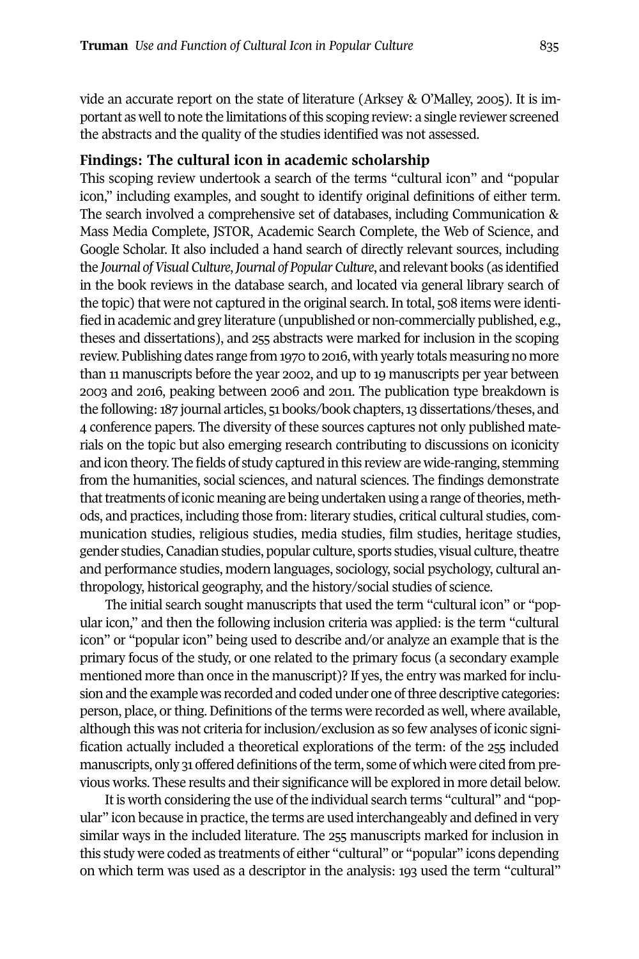vide an accurate report on the state of literature (Arksey & O'Malley, 2005). It is important as well to note the limitations of this scoping review: a single reviewer screened the abstracts and the quality of the studies identified was not assessed.

## **Findings: The cultural icon in academic scholarship**

This scoping review undertook a search of the terms "cultural icon" and "popular icon," including examples, and sought to identify original definitions of either term. The search involved a comprehensive set of databases, including Communication & Mass Media Complete, JSTOR, Academic Search Complete, the Web of Science, and Google Scholar. It also included a hand search of directly relevant sources, including the *Journal ofVisual Culture*,*Journal of Popular Culture*, and relevant books (as identified in the book reviews in the database search, and located via general library search of the topic) that were not captured in the original search. In total, 508 items were identified in academic and grey literature (unpublished or non-commercially published, e.g., theses and dissertations), and 255 abstracts were marked for inclusion in the scoping review. Publishing dates range from 1970 to 2016, with yearly totals measuring no more than 11 manuscripts before the year 2002, and up to 19 manuscripts per year between 2003 and 2016, peaking between 2006 and 2011. The publication type breakdown is the following: 187 journal articles, 51 books/book chapters, 13 dissertations/theses, and 4 conference papers. The diversity of these sources captures not only published materials on the topic but also emerging research contributing to discussions on iconicity and icon theory. The fields of study captured in this review are wide-ranging, stemming from the humanities, social sciences, and natural sciences. The findings demonstrate that treatments of iconic meaning are being undertaken using a range of theories, methods, and practices, including those from: literary studies, critical cultural studies, communication studies, religious studies, media studies, film studies, heritage studies, gender studies, Canadian studies, popular culture, sports studies, visual culture,theatre and performance studies, modern languages, sociology, social psychology, cultural anthropology, historical geography, and the history/social studies of science.

The initial search sought manuscripts that used the term "cultural icon" or "popular icon," and then the following inclusion criteria was applied: is the term "cultural icon" or "popular icon" being used to describe and/or analyze an example that is the primary focus of the study, or one related to the primary focus (a secondary example mentioned more than once in the manuscript)? If yes, the entry was marked forinclusion and the example was recorded and coded under one of three descriptive categories: person, place, orthing. Definitions of the terms were recorded as well, where available, although this was not criteria forinclusion/exclusion as so few analyses of iconic signification actually included a theoretical explorations of the term: of the 255 included manuscripts, only 31 offered definitions of the term, some of which were cited from previous works. These results and their significance will be explored in more detail below.

It is worth considering the use of the individual search terms "cultural" and "popular" icon because in practice, the terms are used interchangeably and defined in very similar ways in the included literature. The 255 manuscripts marked for inclusion in this study were coded as treatments of either "cultural" or "popular" icons depending on which term was used as a descriptor in the analysis: 193 used the term "cultural"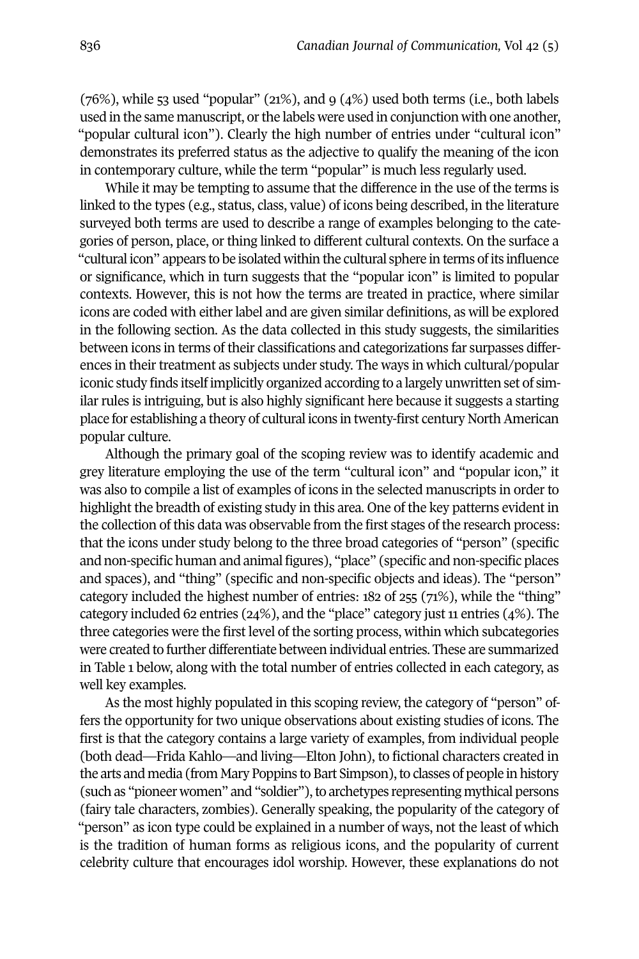$(76%)$ , while 53 used "popular"  $(21%)$ , and 9  $(4%)$  used both terms (i.e., both labels used in the same manuscript, or the labels were used in conjunction with one another, "popular cultural icon"). Clearly the high number of entries under "cultural icon" demonstrates its preferred status as the adjective to qualify the meaning of the icon in contemporary culture, while the term "popular" is much less regularly used.

While it may be tempting to assume that the difference in the use of the terms is linked to the types (e.g., status, class, value) of icons being described, in the literature surveyed both terms are used to describe a range of examples belonging to the categories of person, place, or thing linked to different cultural contexts. On the surface a "cultural icon" appears to be isolated within the cultural sphere in terms ofits influence or significance, which in turn suggests that the "popular icon" is limited to popular contexts. However, this is not how the terms are treated in practice, where similar icons are coded with either label and are given similar definitions, as will be explored in the following section. As the data collected in this study suggests, the similarities between icons in terms of their classifications and categorizations far surpasses differences in their treatment as subjects under study. The ways in which cultural/popular iconic study finds itself implicitly organized according to a largely unwritten set of similar rules is intriguing, but is also highly significant here because it suggests a starting place for establishing a theory of cultural icons in twenty-first century North American popular culture.

Although the primary goal of the scoping review was to identify academic and grey literature employing the use of the term "cultural icon" and "popular icon," it was also to compile a list of examples of icons in the selected manuscripts in order to highlight the breadth of existing study in this area. One of the key patterns evident in the collection of this data was observable from the first stages of the research process: that the icons under study belong to the three broad categories of "person" (specific and non-specific human and animal figures), "place" (specific and non-specific places and spaces), and "thing" (specific and non-specific objects and ideas). The "person" category included the highest number of entries: 182 of 255 (71%), while the "thing" category included 62 entries (24%), and the "place" category just  $11$  entries (4%). The three categories were the first level of the sorting process, within which subcategories were created to further differentiate between individual entries. These are summarized in Table 1 below, along with the total number of entries collected in each category, as well key examples.

As the most highly populated in this scoping review, the category of "person" offers the opportunity for two unique observations about existing studies of icons. The first is that the category contains a large variety of examples, from individual people (both dead—Frida Kahlo—and living—Elton John), to fictional characters created in the arts and media (from Mary Poppins to Bart Simpson), to classes of people in history (such as "pioneer women" and "soldier"), to archetypes representing mythical persons (fairy tale characters, zombies). Generally speaking, the popularity of the category of "person" as icon type could be explained in a number of ways, not the least of which is the tradition of human forms as religious icons, and the popularity of current celebrity culture that encourages idol worship. However, these explanations do not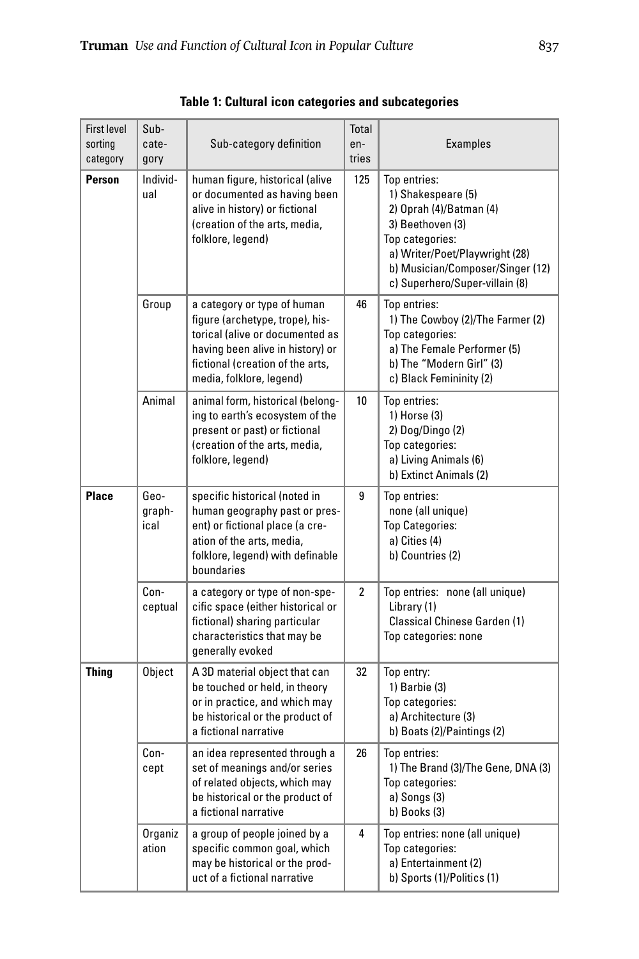| <b>First level</b><br>sorting<br>category                                                                                                                                                                            | Sub-<br>cate-<br>gory  | Sub-category definition                                                                                                                                                          | Total<br>en-<br>tries | <b>Examples</b>                                                                                                                                                                                              |  |  |
|----------------------------------------------------------------------------------------------------------------------------------------------------------------------------------------------------------------------|------------------------|----------------------------------------------------------------------------------------------------------------------------------------------------------------------------------|-----------------------|--------------------------------------------------------------------------------------------------------------------------------------------------------------------------------------------------------------|--|--|
| Person                                                                                                                                                                                                               | Individ-<br>ual        | human figure, historical (alive<br>or documented as having been<br>alive in history) or fictional<br>(creation of the arts, media,<br>folklore, legend)                          | 125                   | Top entries:<br>1) Shakespeare (5)<br>2) Oprah (4)/Batman (4)<br>3) Beethoven (3)<br>Top categories:<br>a) Writer/Poet/Playwright (28)<br>b) Musician/Composer/Singer (12)<br>c) Superhero/Super-villain (8) |  |  |
| Group<br>46<br>a category or type of human<br>figure (archetype, trope), his-<br>torical (alive or documented as<br>having been alive in history) or<br>fictional (creation of the arts,<br>media, folklore, legend) |                        |                                                                                                                                                                                  |                       | Top entries:<br>1) The Cowboy (2)/The Farmer (2)<br>Top categories:<br>a) The Female Performer (5)<br>b) The "Modern Girl" (3)<br>c) Black Femininity (2)                                                    |  |  |
|                                                                                                                                                                                                                      | Animal                 | animal form, historical (belong-<br>ing to earth's ecosystem of the<br>present or past) or fictional<br>(creation of the arts, media,<br>folklore, legend)                       | 10                    | Top entries:<br>1) Horse (3)<br>2) Dog/Dingo (2)<br>Top categories:<br>a) Living Animals (6)<br>b) Extinct Animals (2)                                                                                       |  |  |
| <b>Place</b>                                                                                                                                                                                                         | Geo-<br>graph-<br>ical | specific historical (noted in<br>human geography past or pres-<br>ent) or fictional place (a cre-<br>ation of the arts, media,<br>folklore, legend) with definable<br>boundaries | 9                     | Top entries:<br>none (all unique)<br><b>Top Categories:</b><br>a) Cities (4)<br>b) Countries (2)                                                                                                             |  |  |
|                                                                                                                                                                                                                      | Con-<br>ceptual        | a category or type of non-spe-<br>cific space (either historical or<br>fictional) sharing particular<br>characteristics that may be<br>generally evoked                          | $\overline{2}$        | Top entries: none (all unique)<br>Library (1)<br>Classical Chinese Garden (1)<br>Top categories: none                                                                                                        |  |  |
| <b>Thing</b>                                                                                                                                                                                                         | Object                 | A 3D material object that can<br>be touched or held, in theory<br>or in practice, and which may<br>be historical or the product of<br>a fictional narrative                      | 32                    | Top entry:<br>$1)$ Barbie $(3)$<br>Top categories:<br>a) Architecture (3)<br>b) Boats (2)/Paintings (2)                                                                                                      |  |  |
|                                                                                                                                                                                                                      | Con-<br>cept           | an idea represented through a<br>set of meanings and/or series<br>of related objects, which may<br>be historical or the product of<br>a fictional narrative                      | 26                    | Top entries:<br>1) The Brand (3)/The Gene, DNA (3)<br>Top categories:<br>a) Songs (3)<br>b) Books (3)                                                                                                        |  |  |
|                                                                                                                                                                                                                      | Organiz<br>ation       | a group of people joined by a<br>specific common goal, which<br>may be historical or the prod-<br>uct of a fictional narrative                                                   | 4                     | Top entries: none (all unique)<br>Top categories:<br>a) Entertainment (2)<br>b) Sports (1)/Politics (1)                                                                                                      |  |  |

**Table 1: Cultural icon categories and subcategories**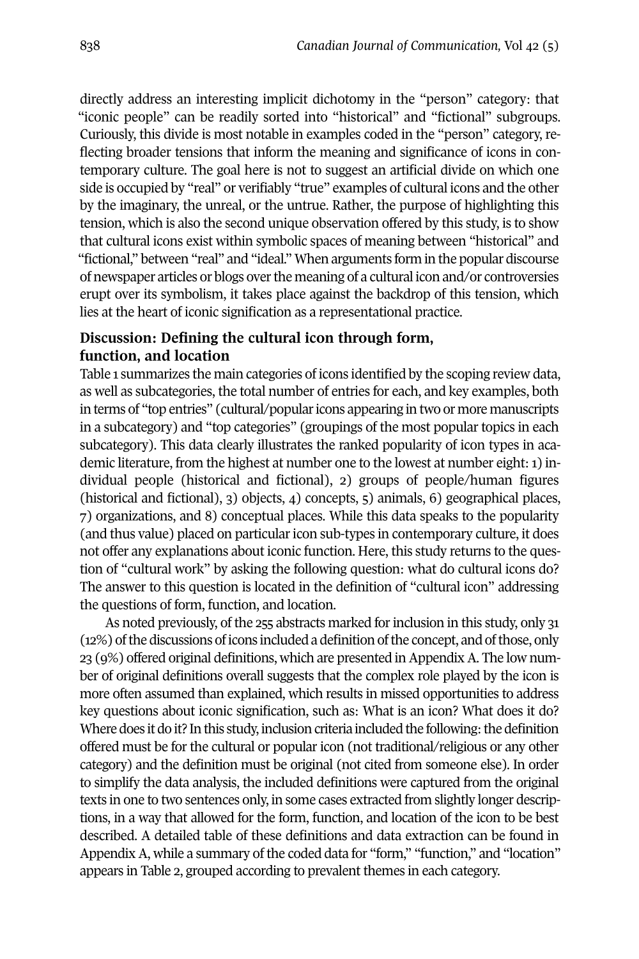directly address an interesting implicit dichotomy in the "person" category: that "iconic people" can be readily sorted into "historical" and "fictional" subgroups. Curiously, this divide is most notable in examples coded in the "person" category, reflecting broader tensions that inform the meaning and significance of icons in contemporary culture. The goal here is not to suggest an artificial divide on which one side is occupied by "real" or verifiably "true" examples of cultural icons and the other by the imaginary, the unreal, or the untrue. Rather, the purpose of highlighting this tension, which is also the second unique observation offered by this study, is to show that cultural icons exist within symbolic spaces of meaning between "historical" and "fictional," between "real" and "ideal." When arguments form in the popular discourse of newspaper articles or blogs overthe meaning of a cultural icon and/or controversies erupt over its symbolism, it takes place against the backdrop of this tension, which lies at the heart of iconic signification as a representational practice.

## **Discussion: Defining the cultural icon through form, function, and location**

Table 1 summarizes the main categories of icons identified by the scoping review data, as well as subcategories, the total number of entries for each, and key examples, both in terms of "top entries" (cultural/popular icons appearing in two or more manuscripts in a subcategory) and "top categories" (groupings of the most popular topics in each subcategory). This data clearly illustrates the ranked popularity of icon types in academic literature, from the highest at number one to the lowest at number eight:1) individual people (historical and fictional), 2) groups of people/human figures (historical and fictional), 3) objects, 4) concepts, 5) animals, 6) geographical places, 7) organizations, and 8) conceptual places. While this data speaks to the popularity (and thus value) placed on particularicon sub-types in contemporary culture, it does not offer any explanations about iconic function. Here, this study returns to the question of "cultural work" by asking the following question: what do cultural icons do? The answer to this question is located in the definition of "cultural icon" addressing the questions of form, function, and location.

As noted previously, of the 255 abstracts marked for inclusion in this study, only 31 (12%) of the discussions of icons included a definition of the concept, and of those, only 23 (9%) offered original definitions, which are presented in Appendix A. The low number of original definitions overall suggests that the complex role played by the icon is more often assumed than explained, which results in missed opportunities to address key questions about iconic signification, such as: What is an icon? What does it do? Where does it do it? In this study, inclusion criteria included the following: the definition offered must be for the cultural or popular icon (not traditional/religious or any other category) and the definition must be original (not cited from someone else). In order to simplify the data analysis, the included definitions were captured from the original texts in one to two sentences only, in some cases extracted from slightly longer descriptions, in a way that allowed for the form, function, and location of the icon to be best described. A detailed table of these definitions and data extraction can be found in Appendix A, while a summary of the coded data for "form," "function," and "location" appears in Table 2, grouped according to prevalent themes in each category.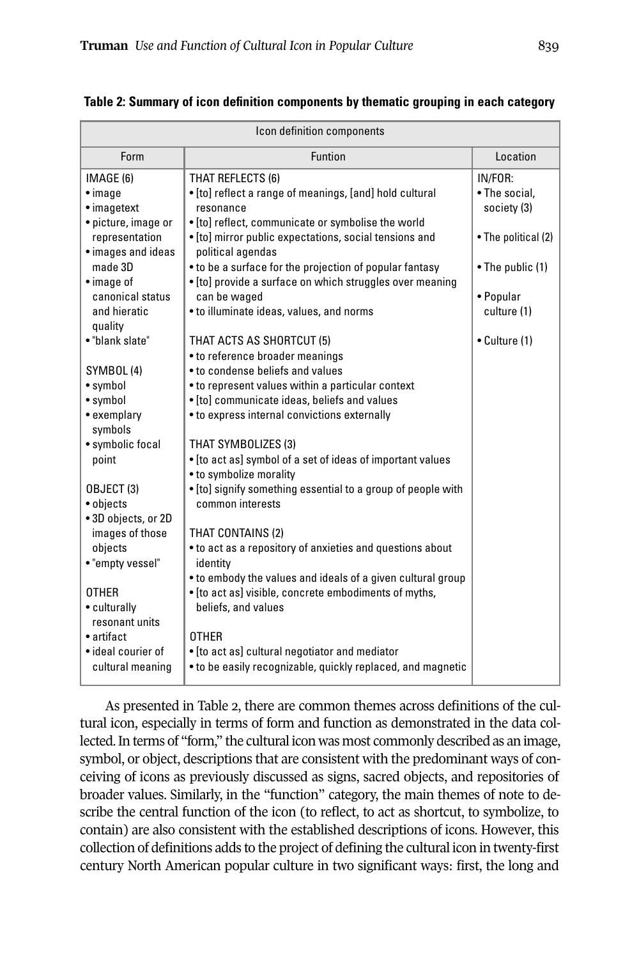| Icon definition components |                                                                              |                     |  |  |  |
|----------------------------|------------------------------------------------------------------------------|---------------------|--|--|--|
| Form                       | <b>Funtion</b>                                                               | Location            |  |  |  |
| IMAGE (6)                  | THAT REFLECTS (6)                                                            | IN/FOR:             |  |  |  |
| $\bullet$ image            | . [to] reflect a range of meanings, [and] hold cultural                      | • The social,       |  |  |  |
| • imagetext                | resonance                                                                    | society (3)         |  |  |  |
| • picture, image or        | • [to] reflect, communicate or symbolise the world                           |                     |  |  |  |
| representation             | • [to] mirror public expectations, social tensions and                       | • The political (2) |  |  |  |
| • images and ideas         | political agendas                                                            |                     |  |  |  |
| made 3D                    | • to be a surface for the projection of popular fantasy                      | • The public (1)    |  |  |  |
| • image of                 | • [to] provide a surface on which struggles over meaning                     |                     |  |  |  |
| canonical status           | can be waged                                                                 | • Popular           |  |  |  |
| and hieratic               | • to illuminate ideas, values, and norms                                     | culture (1)         |  |  |  |
| quality                    |                                                                              |                     |  |  |  |
| • "blank slate"            | THAT ACTS AS SHORTCUT (5)                                                    | • Culture (1)       |  |  |  |
|                            | • to reference broader meanings                                              |                     |  |  |  |
| SYMBOL (4)                 | • to condense beliefs and values                                             |                     |  |  |  |
| • symbol                   | • to represent values within a particular context                            |                     |  |  |  |
| • symbol                   | • [to] communicate ideas, beliefs and values                                 |                     |  |  |  |
| • exemplary<br>symbols     | • to express internal convictions externally                                 |                     |  |  |  |
| • symbolic focal           | THAT SYMBOLIZES (3)                                                          |                     |  |  |  |
| point                      | • [to act as] symbol of a set of ideas of important values                   |                     |  |  |  |
|                            | • to symbolize morality                                                      |                     |  |  |  |
| OBJECT (3)                 | . [to] signify something essential to a group of people with                 |                     |  |  |  |
| • objects                  | common interests                                                             |                     |  |  |  |
| • 3D objects, or 2D        |                                                                              |                     |  |  |  |
| images of those            | THAT CONTAINS (2)                                                            |                     |  |  |  |
| objects                    | • to act as a repository of anxieties and questions about                    |                     |  |  |  |
| • "empty vessel"           | identity                                                                     |                     |  |  |  |
| <b>OTHER</b>               | • to embody the values and ideals of a given cultural group                  |                     |  |  |  |
| • culturally               | • [to act as] visible, concrete embodiments of myths,<br>beliefs, and values |                     |  |  |  |
| resonant units             |                                                                              |                     |  |  |  |
| • artifact                 | <b>OTHER</b>                                                                 |                     |  |  |  |
| • ideal courier of         | • [to act as] cultural negotiator and mediator                               |                     |  |  |  |
| cultural meaning           | • to be easily recognizable, quickly replaced, and magnetic                  |                     |  |  |  |
|                            |                                                                              |                     |  |  |  |

**Table 2: Summary of icon definition components by thematic grouping in each category**

As presented in Table 2, there are common themes across definitions of the cultural icon, especially in terms of form and function as demonstrated in the data collected.In terms of "form," the cultural icon was most commonly described as an image, symbol, or object, descriptions that are consistent with the predominant ways of conceiving of icons as previously discussed as signs, sacred objects, and repositories of broader values. Similarly, in the "function" category, the main themes of note to describe the central function of the icon (to reflect, to act as shortcut, to symbolize, to contain) are also consistent with the established descriptions of icons. However, this collection of definitions adds to the project of defining the cultural icon in twenty-first century North American popular culture in two significant ways: first, the long and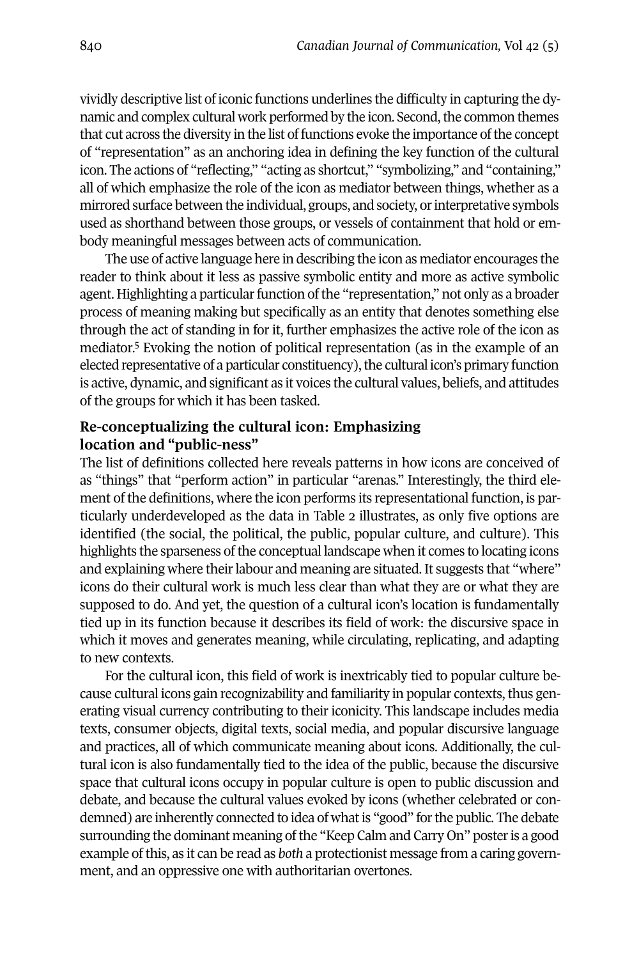vividly descriptive list of iconic functions underlines the difficulty in capturing the dynamic and complex cultural work performed by the icon. Second, the common themes that cut across the diversity in the list of functions evoke the importance of the concept of "representation" as an anchoring idea in defining the key function of the cultural icon. The actions of "reflecting," "acting as shortcut," "symbolizing," and "containing," all of which emphasize the role of the icon as mediator between things, whether as a mirrored surface between the individual, groups, and society, or interpretative symbols used as shorthand between those groups, or vessels of containment that hold or embody meaningful messages between acts of communication.

The use of active language here in describing the icon as mediator encourages the reader to think about it less as passive symbolic entity and more as active symbolic agent. Highlighting a particular function of the "representation," not only as a broader process of meaning making but specifically as an entity that denotes something else through [th](#page-14-3)e act of standing in for it, further emphasizes the active role of the icon as mediator. <sup>5</sup> Evoking the notion of political representation (as in the example of an elected representative of a particular constituency), the cultural icon's primary function is active, dynamic, and significant as it voices the cultural values, beliefs, and attitudes of the groups for which it has been tasked.

## **Re-conceptualizing the cultural icon: Emphasizing location and "public-ness"**

The list of definitions collected here reveals patterns in how icons are conceived of as "things" that "perform action" in particular "arenas." Interestingly, the third element of the definitions, where the icon performs its representational function, is particularly underdeveloped as the data in Table 2 illustrates, as only five options are identified (the social, the political, the public, popular culture, and culture). This highlights the sparseness of the conceptual landscape when it comes to locating icons and explaining where their labour and meaning are situated. It suggests that "where" icons do their cultural work is much less clear than what they are or what they are supposed to do. And yet, the question of a cultural icon's location is fundamentally tied up in its function because it describes its field of work: the discursive space in which it moves and generates meaning, while circulating, replicating, and adapting to new contexts.

For the cultural icon, this field of work is inextricably tied to popular culture because cultural icons gain recognizability and familiarity in popular contexts, thus generating visual currency contributing to their iconicity. This landscape includes media texts, consumer objects, digital texts, social media, and popular discursive language and practices, all of which communicate meaning about icons. Additionally, the cultural icon is also fundamentally tied to the idea of the public, because the discursive space that cultural icons occupy in popular culture is open to public discussion and debate, and because the cultural values evoked by icons (whether celebrated or condemned) are inherently connected to idea of what is "good" for the public. The debate surrounding the dominant meaning of the "Keep Calm and Carry On" poster is a good example ofthis, as it can be read as *both* a protectionist message from a caring government, and an oppressive one with authoritarian overtones.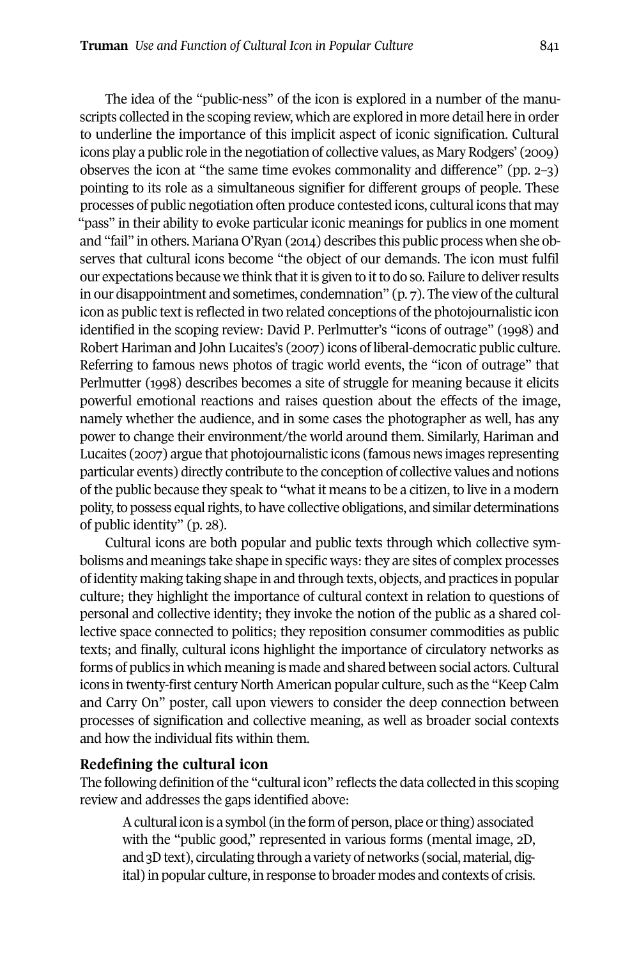The idea of the "public-ness" of the icon is explored in a number of the manuscripts collected in the scoping review, which are explored in more detail here in order to underline the importance of this implicit aspect of iconic signification. Cultural icons play a public role in the negotiation of collective values, as Mary Rodgers' (2009) observes the icon at "the same time evokes commonality and difference" (pp. 2–3) pointing to its role as a simultaneous signifier for different groups of people. These processes of public negotiation often produce contested icons, cultural icons that may "pass" in their ability to evoke particular iconic meanings for publics in one moment and "fail" in others. Mariana O'Ryan (2014) describes this public process when she observes that cultural icons become "the object of our demands. The icon must fulfil our expectations because we think that it is given to it to do so. Failure to deliver results in our disappointment and sometimes, condemnation" (p. 7). The view of the cultural icon as public text is reflected in two related conceptions of the photojournalistic icon identified in the scoping review: David P. Perlmutter's "icons of outrage" (1998) and Robert Hariman and John Lucaites's (2007) icons of liberal-democratic public culture. Referring to famous news photos of tragic world events, the "icon of outrage" that Perlmutter (1998) describes becomes a site of struggle for meaning because it elicits powerful emotional reactions and raises question about the effects of the image, namely whether the audience, and in some cases the photographer as well, has any power to change their environment/the world around them. Similarly, Hariman and Lucaites (2007) argue that photojournalistic icons (famous news images representing particular events) directly contribute to the conception of collective values and notions of the public because they speak to "what it means to be a citizen, to live in a modern polity, to possess equal rights, to have collective obligations, and similar determinations of public identity" (p. 28).

Cultural icons are both popular and public texts through which collective symbolisms and meanings take shape in specific ways:they are sites of complex processes of identity making taking shape in and through texts, objects, and practices in popular culture; they highlight the importance of cultural context in relation to questions of personal and collective identity; they invoke the notion of the public as a shared collective space connected to politics; they reposition consumer commodities as public texts; and finally, cultural icons highlight the importance of circulatory networks as forms of publics in which meaning is made and shared between social actors. Cultural icons in twenty-first century North American popular culture, such as the "Keep Calm and Carry On" poster, call upon viewers to consider the deep connection between processes of signification and collective meaning, as well as broader social contexts and how the individual fits within them.

#### **Redefining the cultural icon**

The following definition of the "cultural icon" reflects the data collected in this scoping review and addresses the gaps identified above:

Acultural iconis a symbol (inthe formof person, place orthing) associated with the "public good," represented in various forms (mental image, 2D, and 3D text), circulating through a variety of networks (social, material, digital) in popular culture, in response to broader modes and contexts of crisis.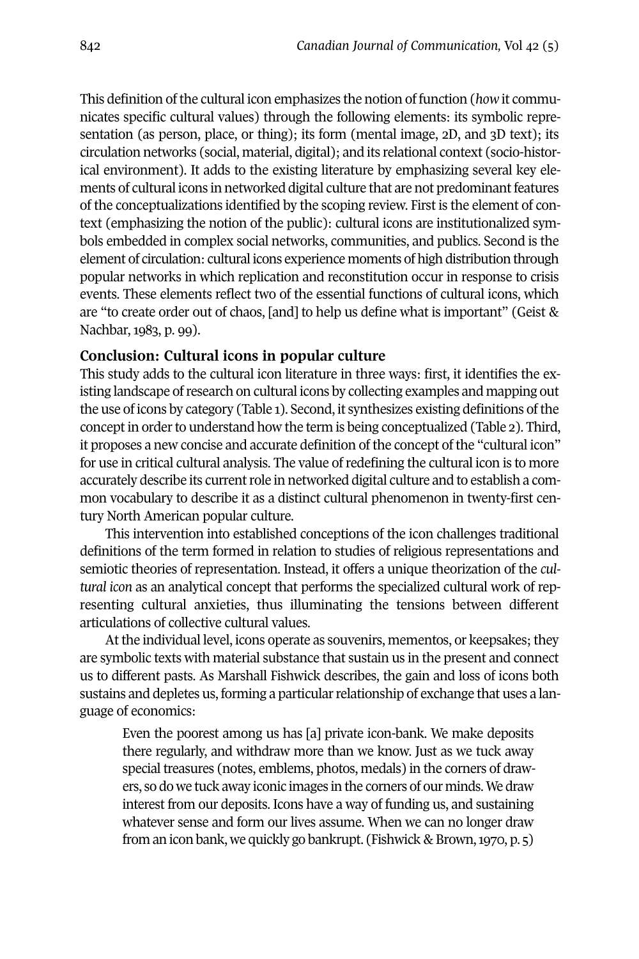This definition of the cultural icon emphasizes the notion of function (*how* it communicates specific cultural values) through the following elements: its symbolic representation (as person, place, or thing); its form (mental image, 2D, and 3D text); its circulation networks (social, material, digital); and its relational context (socio-historical environment). It adds to the existing literature by emphasizing several key elements of cultural icons in networked digital culture that are not predominant features of the conceptualizations identified by the scoping review. First is the element of context (emphasizing the notion of the public): cultural icons are institutionalized symbols embedded in complex social networks, communities, and publics. Second is the element of circulation: cultural icons experience moments of high distribution through popular networks in which replication and reconstitution occur in response to crisis events. These elements reflect two of the essential functions of cultural icons, which are "to create order out of chaos, [and] to help us define what is important" (Geist & Nachbar, 1983, p. 99).

#### **Conclusion: Cultural icons in popular culture**

This study adds to the cultural icon literature in three ways: first, it identifies the existing landscape of research on cultural icons by collecting examples and mapping out the use of icons by category (Table 1). Second, it synthesizes existing definitions of the concept in order to understand how the term is being conceptualized (Table 2). Third, it proposes a new concise and accurate definition of the concept of the "cultural icon" for use in critical cultural analysis. The value ofredefining the cultural icon is to more accurately describe its current role in networked digital culture and to establish a common vocabulary to describe it as a distinct cultural phenomenon in twenty-first century North American popular culture.

This intervention into established conceptions of the icon challenges traditional definitions of the term formed in relation to studies of religious representations and semiotic theories of representation. Instead, it offers a unique theorization of the *cultural icon* as an analytical concept that performs the specialized cultural work of representing cultural anxieties, thus illuminating the tensions between different articulations of collective cultural values.

At the individual level, icons operate as souvenirs, mementos, or keepsakes; they are symbolic texts with material substance that sustain us in the present and connect us to different pasts. As Marshall Fishwick describes, the gain and loss of icons both sustains and depletes us, forming a particular relationship of exchange that uses a language of economics:

Even the poorest among us has [a] private icon-bank. We make deposits there regularly, and withdraw more than we know. Just as we tuck away special treasures (notes, emblems, photos, medals) in the corners of drawers, so do we tuck away iconic images in the corners of our minds.We draw interest from our deposits. Icons have a way of funding us, and sustaining whatever sense and form our lives assume. When we can no longer draw from an icon bank, we quickly go bankrupt. (Fishwick & Brown,1970, p. 5)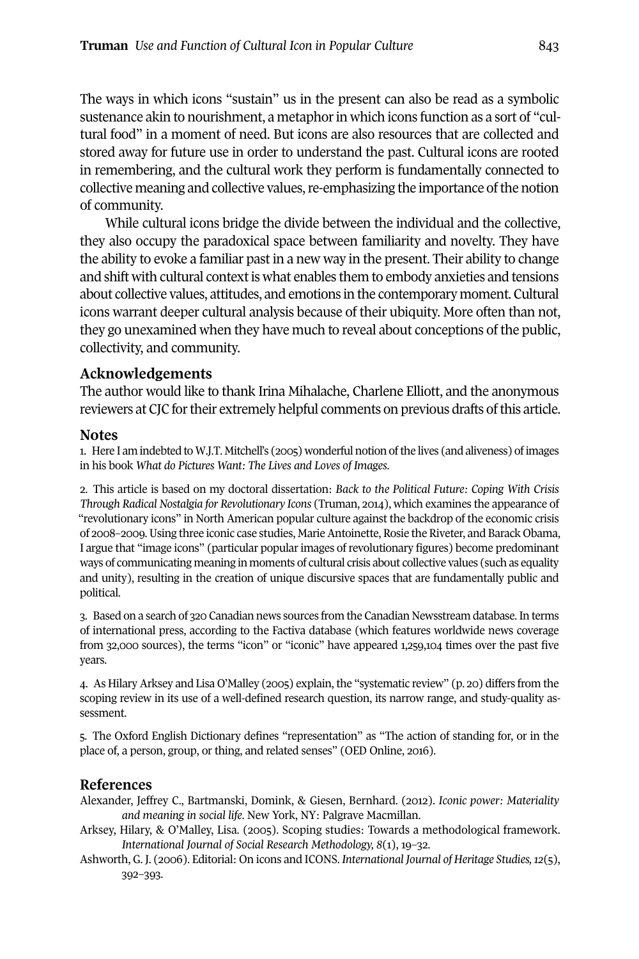The ways in which icons "sustain" us in the present can also be read as a symbolic sustenance akin to nourishment, a metaphor in which icons function as a sort of "cultural food" in a moment of need. But icons are also resources that are collected and stored away for future use in order to understand the past. Cultural icons are rooted in remembering, and the cultural work they perform is fundamentally connected to collective meaning and collective values, re-emphasizing the importance of the notion of community.

While cultural icons bridge the divide between the individual and the collective, they also occupy the paradoxical space between familiarity and novelty. They have the ability to evoke a familiar past in a new way in the present. Their ability to change and shift with cultural contextis what enables them to embody anxieties and tensions about collective values, attitudes, and emotions in the contemporary moment. Cultural icons warrant deeper cultural analysis because of their ubiquity. More often than not, they go unexamined when they have much to reveal about conceptions of the public, collectivity, and community.

## **Acknowledgements**

The author would like to thank Irina Mihalache, Charlene Elliott, and the anonymous reviewers at CJC for their extremely helpful comments on previous drafts of this article.

#### **Notes**

1. Here I am indebted to W.J.T. Mitchell's (2005) wonderful notion of the lives (and aliveness) of images in his book *What do Pictures Want: The Lives and Loves of Images*.

<span id="page-14-0"></span>2. This article is based on my doctoral dissertation: *Back to the Political Future: Coping With Crisis Through Radical Nostalgia for Revolutionary Icons* (Truman, 2014), which examines the appearance of "revolutionary icons" in North American popular culture against the backdrop of the economic crisis of 2008–2009.Using three iconic case studies, MarieAntoinette, Rosie the Riveter, and Barack Obama, I argue that "image icons" (particular popular images of revolutionary figures) become predominant ways of communicating meaning in moments of cultural crisis about collective values (such as equality and unity), resulting in the creation of unique discursive spaces that are fundamentally public and political.

<span id="page-14-1"></span>3. Based on a search of 320 Canadian news sources from the Canadian Newsstream database.In terms of international press, according to the Factiva database (which features worldwide news coverage from 32,000 sources), the terms "icon" or "iconic" have appeared 1,259,104 times over the past five years.

<span id="page-14-2"></span>4. As Hilary Arksey and Lisa O'Malley (2005) explain, the "systematic review" (p. 20) differs from the scoping review in its use of a well-defined research question, its narrow range, and study-quality assessment.

<span id="page-14-3"></span>5. The Oxford English Dictionary defines "representation" as "The action of standing for, or in the place of, a person, group, or thing, and related senses" (OED Online, 2016).

## **References**

- Alexander, Jeffrey C., Bartmanski, Domink, & Giesen, Bernhard. (2012). *Iconic power: Materiality and meaning in social life*. New York, NY: Palgrave Macmillan.
- Arksey, Hilary, & O'Malley, Lisa. (2005). Scoping studies: Towards a methodological framework. *International Journal of Social Research Methodology, 8*(1), 19–32.
- Ashworth, G. J. (2006). Editorial: On icons and ICONS. *International Journal of Heritage Studies,12*(5), 392–393.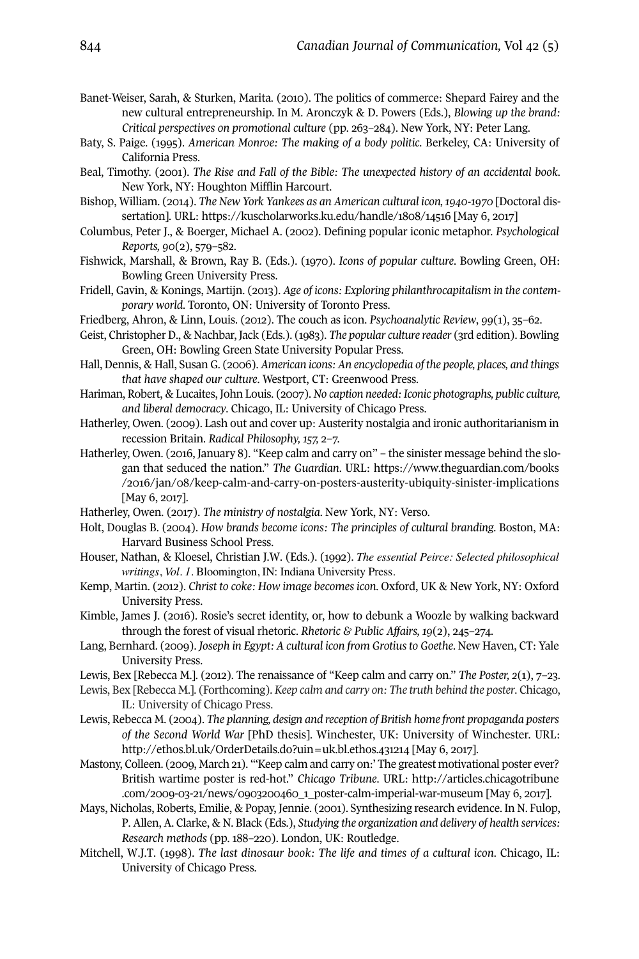- Banet-Weiser, Sarah, & Sturken, Marita. (2010). The politics of commerce: Shepard Fairey and the new cultural entrepreneurship. In M. Aronczyk & D. Powers (Eds.), *Blowing up the brand: Critical perspectives on promotional culture* (pp. 263–284). New York, NY: Peter Lang.
- Baty, S. Paige. (1995). *American Monroe: The making of a body politic*. Berkeley, CA: University of California Press.
- Beal, Timothy. (2001). *The Rise and Fall of the Bible: The unexpected history of an accidental book*. New York, NY: Houghton Mifflin Harcourt.
- Bishop, William. (2014). *The New York Yankees as an American cultural icon,1940-1970* [Doctoral dissertation]. URL: <https://kuscholarworks.ku.edu/handle/1808/14516> [May 6, 2017]
- Columbus, Peter J., & Boerger, Michael A. (2002). Defining popular iconic metaphor. *Psychological Reports, 90*(2), 579–582.
- Fishwick, Marshall, & Brown, Ray B. (Eds.). (1970). *Icons of popular culture*. Bowling Green, OH: Bowling Green University Press.
- Fridell, Gavin, & Konings, Martijn. (2013). *Age of icons: Exploring philanthrocapitalism in the contemporary world*. Toronto, ON: University of Toronto Press.
- Friedberg, Ahron, & Linn, Louis. (2012). The couch as icon. *Psychoanalytic Review*, *99*(1), 35–62.
- Geist, Christopher D., & Nachbar, Jack (Eds.). (1983). *The popular culture reader* (3rd edition). Bowling Green, OH: Bowling Green State University Popular Press.
- Hall, Dennis, & Hall, Susan G. (2006). *American icons: An encyclopedia of the people, places, and things that have shaped our culture*. Westport, CT: Greenwood Press.
- Hariman, Robert, & Lucaites, John Louis. (2007).*No caption needed: Iconic photographs, public culture, and liberal democracy*. Chicago, IL: University of Chicago Press.
- Hatherley, Owen. (2009). Lash out and cover up: Austerity nostalgia and ironic authoritarianism in recession Britain. *Radical Philosophy, 157,* 2–7.
- Hatherley, Owen. (2016, January 8). "Keep calm and carry on" the sinister message behind the slogan that seduced the nation." *The Guardian*. URL: [https://www.theguardian.com/books](https://www.theguardian.com/books/2016/jan/08/keep-calm-and-carry-on-posters-austerity-ubiquity-sinister-implications) [/2016/jan/08/keep-calm-and-carry-on-posters-austerity-ubiquity-sinister-implications](https://www.theguardian.com/books/2016/jan/08/keep-calm-and-carry-on-posters-austerity-ubiquity-sinister-implications) [May 6, 2017].
- Hatherley, Owen. (2017). *The ministry of nostalgia*. New York, NY: Verso.
- Holt, Douglas B. (2004). *How brands become icons: The principles of cultural branding*. Boston, MA: Harvard Business School Press.
- Houser, Nathan, & Kloesel, Christian J.W. (Eds.). (1992). *The essential Peirce: Selected philosophical writings*, *Vol. 1*. Bloomington, IN: Indiana University Press.
- Kemp, Martin. (2012). *Christ to coke: How image becomes icon*. Oxford, UK & New York, NY: Oxford University Press.
- Kimble, James J. (2016). Rosie's secret identity, or, how to debunk a Woozle by walking backward through the forest of visual rhetoric. *Rhetoric & Public Affairs, 19*(2), 245–274.
- Lang, Bernhard. (2009). *Joseph in Egypt: A cultural icon from Grotiusto Goethe*. New Haven, CT: Yale University Press.
- Lewis, Bex [Rebecca M.]. (2012). The renaissance of "Keep calm and carry on." *The Poster, 2*(1), 7–23.
- Lewis, Bex [Rebecca M.]. (Forthcoming). *Keep calm and carry on: The truth behind the poster*. Chicago, IL: University of Chicago Press.
- Lewis, Rebecca M. (2004). *The planning, design and reception of British home front propaganda posters of the Second World War* [PhD thesis]. Winchester, UK: University of Winchester. URL: <http://ethos.bl.uk/OrderDetails.do?uin=uk.bl.ethos.431214> [May 6, 2017].
- Mastony, Colleen. (2009, March 21). "'Keep calm and carry on:' The greatest motivational poster ever? British wartime poster is red-hot." *Chicago Tribune*. URL: [http://articles.chicagotribune](http://articles.chicagotribune.com/2009-03-21/news/0903200460_1_poster-calm-imperial-war-museum) [.com/2009-03-21/news/0903200460\\_1\\_poster-calm-imperial-war-museum](http://articles.chicagotribune.com/2009-03-21/news/0903200460_1_poster-calm-imperial-war-museum) [May 6, 2017].
- Mays, Nicholas, Roberts, Emilie, & Popay, Jennie. (2001). Synthesizing research evidence. In N. Fulop, P. Allen, A. Clarke, & N. Black (Eds.), *Studying the organization and delivery of health services: Research methods* (pp. 188–220). London, UK: Routledge.
- Mitchell, W.J.T. (1998). *The last dinosaur book: The life and times of a cultural icon*. Chicago, IL: University of Chicago Press.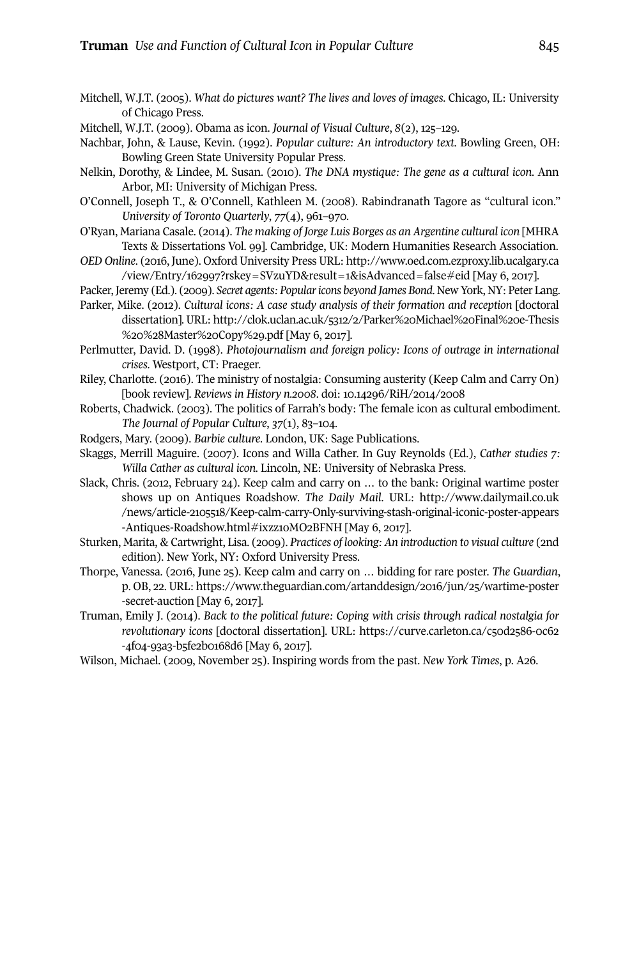- Mitchell, W.J.T. (2005). *What do pictures want? The lives and loves of images*. Chicago, IL: University of Chicago Press.
- Mitchell, W.J.T. (2009). Obama as icon. *Journal of Visual Culture*, *8*(2), 125–129.
- Nachbar, John, & Lause, Kevin. (1992). *Popular culture: An introductory text*. Bowling Green, OH: Bowling Green State University Popular Press.
- Nelkin, Dorothy, & Lindee, M. Susan. (2010). *The DNA mystique: The gene as a cultural icon*. Ann Arbor, MI: University of Michigan Press.
- O'Connell, Joseph T., & O'Connell, Kathleen M. (2008). Rabindranath Tagore as "cultural icon." *University of Toronto Quarterly*, *77*(4), 961–970.
- O'Ryan, Mariana Casale. (2014). *The making of Jorge Luis Borges as an Argentine cultural icon* [MHRA Texts & Dissertations Vol. 99]. Cambridge, UK: Modern Humanities Research Association.
- *OED Online*. (2016, June). Oxford University Press URL: [http://www.oed.com.ezproxy.lib.ucalgary.ca](http://www.oed.com.ezproxy.lib.ucalgary.ca/view/Entry/162997?rskey=SVzuYD&result=1&isAdvanced=false#eid) [/view/Entry/162997?rskey=SVzuYD&result=1&isAdvanced=false#eid](http://www.oed.com.ezproxy.lib.ucalgary.ca/view/Entry/162997?rskey=SVzuYD&result=1&isAdvanced=false#eid) [May 6, 2017].
- Packer,Jeremy (Ed.). (2009). *Secret agents: Popularicons beyond James Bond*. New York, NY: Peter Lang.
- Parker, Mike. (2012). *Cultural icons: A case study analysis of their formation and reception* [doctoral dissertation]. URL: [http://clok.uclan.ac.uk/5312/2/Parker%20Michael%20Final%20e-Thesis](http://clok.uclan.ac.uk/5312/2/Parker%20Michael%20Final%20e-Thesis%20%28Master%20Copy%29.pdf) [%20%28Master%20Copy%29.pdf](http://clok.uclan.ac.uk/5312/2/Parker%20Michael%20Final%20e-Thesis%20%28Master%20Copy%29.pdf) [May 6, 2017].
- Perlmutter, David. D. (1998). *Photojournalism and foreign policy: Icons of outrage in international crises*. Westport, CT: Praeger.
- Riley, Charlotte. (2016). The ministry of nostalgia: Consuming austerity (Keep Calm and Carry On) [book review]. *Reviews in History n.2008*. doi: [10.14296/RiH/2014/2008](http://doi.org/10.14296/RiH/2014/2008)
- Roberts, Chadwick. (2003). The politics of Farrah's body: The female icon as cultural embodiment. *The Journal of Popular Culture*, *37*(1), 83–104.
- Rodgers, Mary. (2009). *Barbie culture*. London, UK: Sage Publications.
- Skaggs, Merrill Maguire. (2007). Icons and Willa Cather. In Guy Reynolds (Ed.), *Cather studies 7: Willa Cather as cultural icon.* Lincoln, NE: University of Nebraska Press.
- Slack, Chris. (2012, February 24). Keep calm and carry on … to the bank: Original wartime poster shows up on Antiques Roadshow. *The Daily Mail*. URL: [http://www.dailymail.co.uk](http://www.dailymail.co.uk/news/article-2105518/Keep-calm-carry-Only-surviving-stash-original-iconic-poster-appears-Antiques-Roadshow.html#ixzz1oMO2BFNH) [/news/article-2105518/Keep-calm-carry-Only-surviving-stash-original-iconic-poster-appears](http://www.dailymail.co.uk/news/article-2105518/Keep-calm-carry-Only-surviving-stash-original-iconic-poster-appears-Antiques-Roadshow.html#ixzz1oMO2BFNH) [-Antiques-Roadshow.html#ixzz1oMO2BFNH](http://www.dailymail.co.uk/news/article-2105518/Keep-calm-carry-Only-surviving-stash-original-iconic-poster-appears-Antiques-Roadshow.html#ixzz1oMO2BFNH) [May 6, 2017].
- Sturken, Marita, & Cartwright, Lisa. (2009). *Practices of looking: An introduction to visual culture* (2nd edition). New York, NY: Oxford University Press.
- Thorpe, Vanessa. (2016, June 25). Keep calm and carry on … bidding for rare poster. *The Guardian*, p. OB, 22. URL: [https://www.theguardian.com/artanddesign/2016/jun/25/wartime-poster](https://www.theguardian.com/artanddesign/2016/jun/25/wartime-poster-secret-auction) [-secret-auction](https://www.theguardian.com/artanddesign/2016/jun/25/wartime-poster-secret-auction) [May 6, 2017].
- Truman, Emily J. (2014). *Back to the political future: Coping with crisis through radical nostalgia for revolutionary icons* [doctoral dissertation]. URL: [https://curve.carleton.ca/c50d2586-0c62](https://curve.carleton.ca/c50d2586-0c62-4f04-93a3-b5fe2b0168d6) [-4f04-93a3-b5fe2b0168d6](https://curve.carleton.ca/c50d2586-0c62-4f04-93a3-b5fe2b0168d6) [May 6, 2017].
- Wilson, Michael. (2009, November 25). Inspiring words from the past. *New York Times*, p. A26.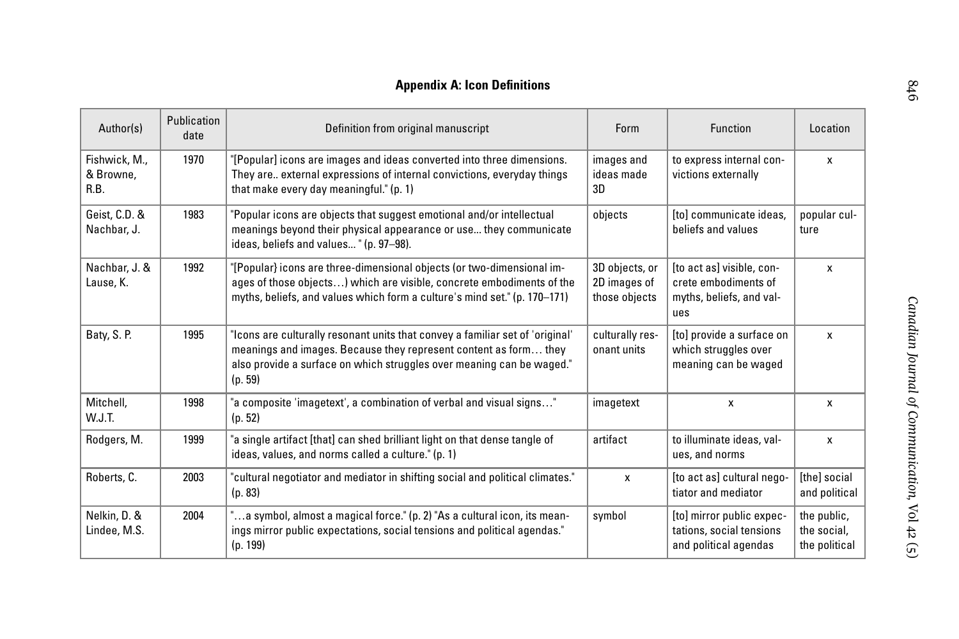# **Appendix A: Icon Definitions**

| Author(s)                          | Publication<br>date | Definition from original manuscript                                                                                                                                                                                                   | <b>Form</b>                                     | <b>Function</b>                                                                      | Location                                    |
|------------------------------------|---------------------|---------------------------------------------------------------------------------------------------------------------------------------------------------------------------------------------------------------------------------------|-------------------------------------------------|--------------------------------------------------------------------------------------|---------------------------------------------|
| Fishwick, M.,<br>& Browne,<br>R.B. | 1970                | "[Popular] icons are images and ideas converted into three dimensions.<br>They are external expressions of internal convictions, everyday things<br>that make every day meaningful." (p. 1)                                           | images and<br>ideas made<br>3D                  | to express internal con-<br>victions externally                                      | X                                           |
| Geist, C.D. &<br>Nachbar, J.       | 1983                | "Popular icons are objects that suggest emotional and/or intellectual<br>meanings beyond their physical appearance or use they communicate<br>ideas, beliefs and values " (p. 97-98).                                                 | objects                                         | [to] communicate ideas,<br>beliefs and values                                        | popular cul-<br>ture                        |
| Nachbar, J. &<br>Lause, K.         | 1992                | "[Popular} icons are three-dimensional objects (or two-dimensional im-<br>ages of those objects) which are visible, concrete embodiments of the<br>myths, beliefs, and values which form a culture's mind set." (p. 170–171)          | 3D objects, or<br>2D images of<br>those objects | [to act as] visible, con-<br>crete embodiments of<br>myths, beliefs, and val-<br>ues | X                                           |
| Baty, S. P.                        | 1995                | 'Icons are culturally resonant units that convey a familiar set of 'original'<br>meanings and images. Because they represent content as form they<br>also provide a surface on which struggles over meaning can be waged."<br>(p. 59) | culturally res-<br>onant units                  | [to] provide a surface on<br>which struggles over<br>meaning can be waged            | X                                           |
| Mitchell,<br>W.J.T.                | 1998                | "a composite 'imagetext', a combination of verbal and visual signs"<br>(p. 52)                                                                                                                                                        | imagetext                                       | X                                                                                    | X                                           |
| Rodgers, M.                        | 1999                | "a single artifact [that] can shed brilliant light on that dense tangle of<br>ideas, values, and norms called a culture." (p. 1)                                                                                                      | artifact                                        | to illuminate ideas, val-<br>ues, and norms                                          | X                                           |
| Roberts, C.                        | 2003                | "cultural negotiator and mediator in shifting social and political climates."<br>(p. 83)                                                                                                                                              | X                                               | [to act as] cultural nego-<br>tiator and mediator                                    | <b>Ithel social</b><br>and political        |
| Nelkin, D. &<br>Lindee, M.S.       | 2004                | 'a symbol, almost a magical force." (p. 2) "As a cultural icon, its mean-<br>ings mirror public expectations, social tensions and political agendas."<br>(p. 199)                                                                     | symbol                                          | [to] mirror public expec-<br>tations, social tensions<br>and political agendas       | the public,<br>the social,<br>the political |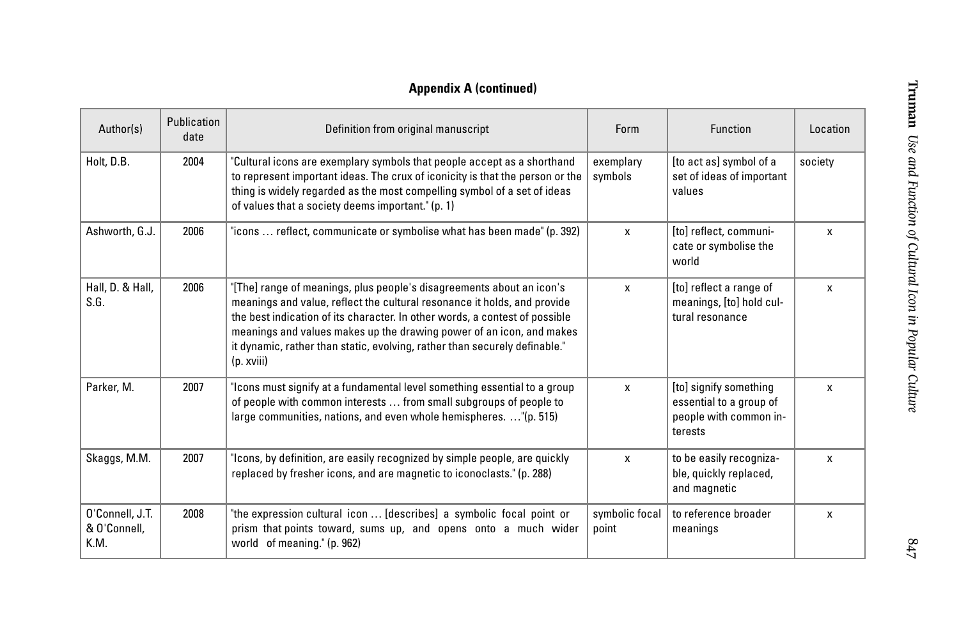# **Appendix A (continued)**

| Author(s)                               | Publication<br>date | Definition from original manuscript                                                                                                                                                                                                                                                                                                                                                                  | Form                    | <b>Function</b>                                                                        | Location |
|-----------------------------------------|---------------------|------------------------------------------------------------------------------------------------------------------------------------------------------------------------------------------------------------------------------------------------------------------------------------------------------------------------------------------------------------------------------------------------------|-------------------------|----------------------------------------------------------------------------------------|----------|
| Holt, D.B.                              | 2004                | "Cultural icons are exemplary symbols that people accept as a shorthand<br>to represent important ideas. The crux of iconicity is that the person or the<br>thing is widely regarded as the most compelling symbol of a set of ideas<br>of values that a society deems important." (p. 1)                                                                                                            | exemplary<br>symbols    | [to act as] symbol of a<br>set of ideas of important<br>values                         | society  |
| Ashworth, G.J.                          | 2006                | "icons  reflect, communicate or symbolise what has been made" (p. 392)                                                                                                                                                                                                                                                                                                                               | X                       | [to] reflect, communi-<br>cate or symbolise the<br>world                               | X        |
| Hall, D. & Hall,<br>S.G.                | 2006                | "[The] range of meanings, plus people's disagreements about an icon's<br>meanings and value, reflect the cultural resonance it holds, and provide<br>the best indication of its character. In other words, a contest of possible<br>meanings and values makes up the drawing power of an icon, and makes<br>it dynamic, rather than static, evolving, rather than securely definable."<br>(p. xviii) | X                       | [to] reflect a range of<br>meanings, [to] hold cul-<br>tural resonance                 | X        |
| Parker, M.                              | 2007                | "Icons must signify at a fundamental level something essential to a group<br>of people with common interests  from small subgroups of people to<br>large communities, nations, and even whole hemispheres. "(p. 515)                                                                                                                                                                                 | X                       | [to] signify something<br>essential to a group of<br>people with common in-<br>terests | X        |
| Skaggs, M.M.                            | 2007                | "Icons, by definition, are easily recognized by simple people, are quickly<br>replaced by fresher icons, and are magnetic to iconoclasts." (p. 288)                                                                                                                                                                                                                                                  | X                       | to be easily recogniza-<br>ble, quickly replaced,<br>and magnetic                      | X        |
| O'Connell, J.T.<br>& O'Connell,<br>K.M. | 2008                | "the expression cultural icon  [describes] a symbolic focal point or<br>prism that points toward, sums up, and opens onto a much wider<br>world of meaning." (p. 962)                                                                                                                                                                                                                                | symbolic focal<br>point | to reference broader<br>meanings                                                       | X        |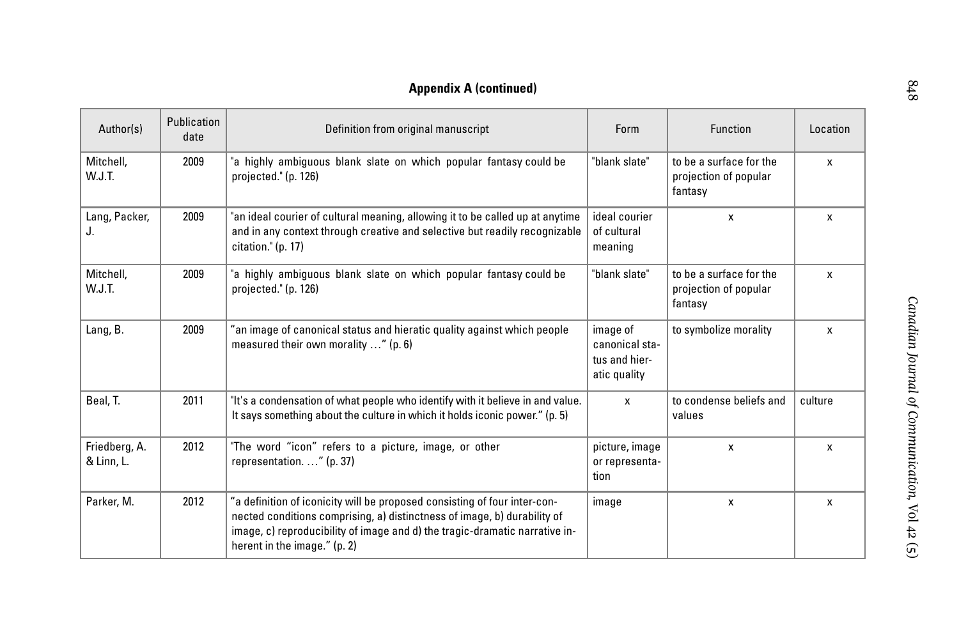# **Appendix A (continued)**

| Author(s)                   | Publication<br>date | Definition from original manuscript                                                                                                                                                                                                                                  | Form                                                        | <b>Function</b>                                             | Location     |
|-----------------------------|---------------------|----------------------------------------------------------------------------------------------------------------------------------------------------------------------------------------------------------------------------------------------------------------------|-------------------------------------------------------------|-------------------------------------------------------------|--------------|
| Mitchell,<br>W.J.T.         | 2009                | "a highly ambiguous blank slate on which popular fantasy could be<br>projected." (p. 126)                                                                                                                                                                            | "blank slate"                                               | to be a surface for the<br>projection of popular<br>fantasy | $\mathsf{x}$ |
| Lang, Packer,<br>J.         | 2009                | "an ideal courier of cultural meaning, allowing it to be called up at anytime<br>and in any context through creative and selective but readily recognizable<br>citation." (p. 17)                                                                                    | ideal courier<br>of cultural<br>meaning                     | $\mathbf{x}$                                                | X            |
| Mitchell,<br>W.J.T.         | 2009                | "a highly ambiguous blank slate on which popular fantasy could be<br>projected." (p. 126)                                                                                                                                                                            | "blank slate"                                               | to be a surface for the<br>projection of popular<br>fantasy | X            |
| Lang, B.                    | 2009                | "an image of canonical status and hieratic quality against which people<br>measured their own morality " (p. 6)                                                                                                                                                      | image of<br>canonical sta-<br>tus and hier-<br>atic quality | to symbolize morality                                       | X            |
| Beal. T.                    | 2011                | "It's a condensation of what people who identify with it believe in and value.<br>It says something about the culture in which it holds iconic power." (p. 5)                                                                                                        | x                                                           | to condense beliefs and<br>values                           | culture      |
| Friedberg, A.<br>& Linn, L. | 2012                | "The word "icon" refers to a picture, image, or other<br>representation. " (p. 37)                                                                                                                                                                                   | picture, image<br>or representa-<br>tion                    | x                                                           | X            |
| Parker, M.                  | 2012                | "a definition of iconicity will be proposed consisting of four inter-con-<br>nected conditions comprising, a) distinctness of image, b) durability of<br>image, c) reproducibility of image and d) the tragic-dramatic narrative in-<br>herent in the image." (p. 2) | image                                                       | X                                                           | X            |